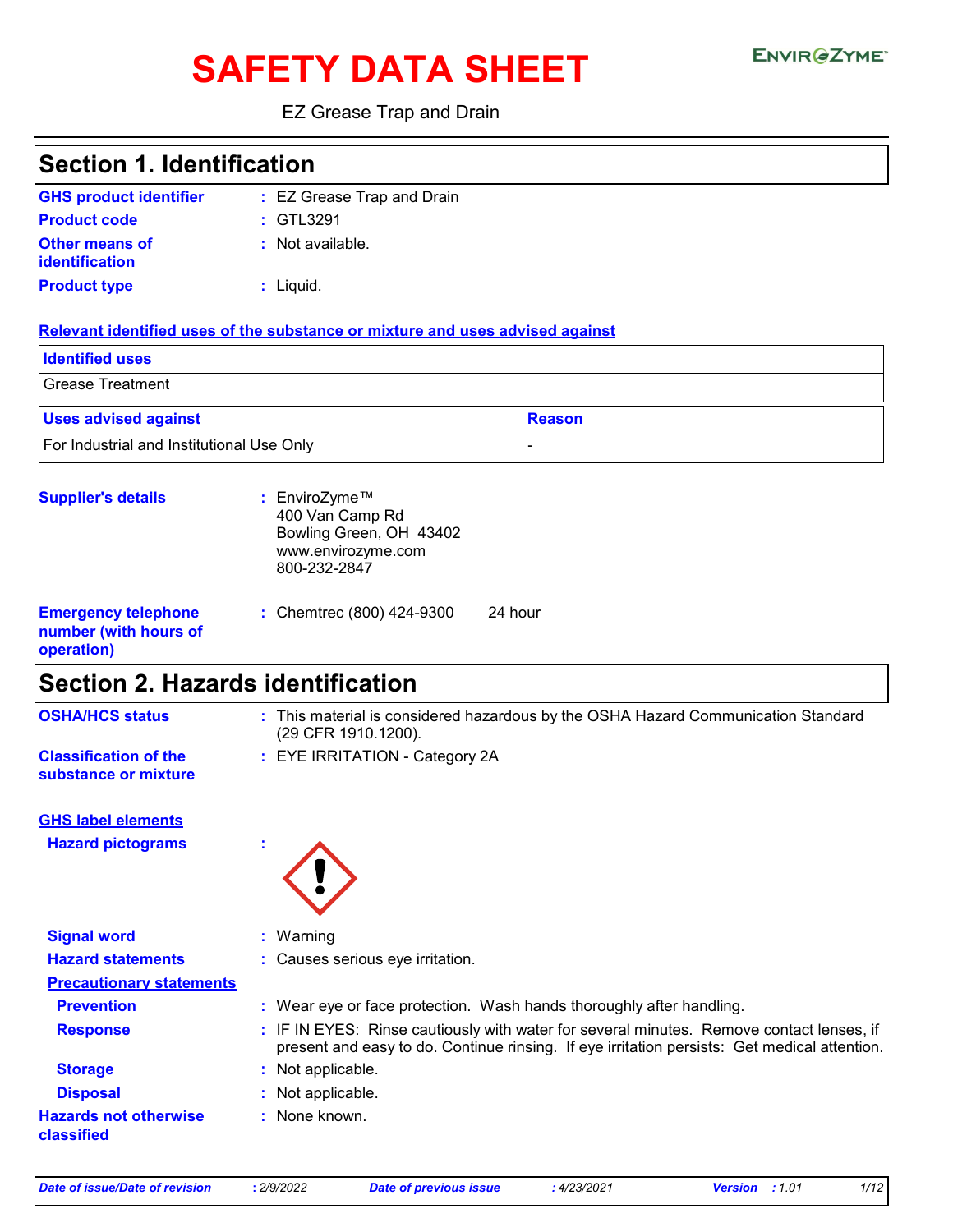# SAFETY DATA SHEET ENVIRGETMEN

#### EZ Grease Trap and Drain

| <b>Section 1. Identification</b>                                  |                                                                                                   |                                                                                                                                                                                          |  |
|-------------------------------------------------------------------|---------------------------------------------------------------------------------------------------|------------------------------------------------------------------------------------------------------------------------------------------------------------------------------------------|--|
| <b>GHS product identifier</b>                                     | : EZ Grease Trap and Drain                                                                        |                                                                                                                                                                                          |  |
| <b>Product code</b>                                               | : GTL3291                                                                                         |                                                                                                                                                                                          |  |
| <b>Other means of</b><br>identification                           | : Not available.                                                                                  |                                                                                                                                                                                          |  |
| <b>Product type</b>                                               | : Liquid.                                                                                         |                                                                                                                                                                                          |  |
|                                                                   | Relevant identified uses of the substance or mixture and uses advised against                     |                                                                                                                                                                                          |  |
| <b>Identified uses</b>                                            |                                                                                                   |                                                                                                                                                                                          |  |
| <b>Grease Treatment</b>                                           |                                                                                                   |                                                                                                                                                                                          |  |
| <b>Uses advised against</b>                                       |                                                                                                   | <b>Reason</b>                                                                                                                                                                            |  |
| For Industrial and Institutional Use Only                         |                                                                                                   |                                                                                                                                                                                          |  |
| <b>Supplier's details</b>                                         | : EnviroZyme™<br>400 Van Camp Rd<br>Bowling Green, OH 43402<br>www.envirozyme.com<br>800-232-2847 |                                                                                                                                                                                          |  |
| <b>Emergency telephone</b><br>number (with hours of<br>operation) | 24 hour<br>: Chemtrec (800) 424-9300                                                              |                                                                                                                                                                                          |  |
| <b>Section 2. Hazards identification</b>                          |                                                                                                   |                                                                                                                                                                                          |  |
| <b>OSHA/HCS status</b>                                            | (29 CFR 1910.1200).                                                                               | : This material is considered hazardous by the OSHA Hazard Communication Standard                                                                                                        |  |
| <b>Classification of the</b><br>substance or mixture              | : EYE IRRITATION - Category 2A                                                                    |                                                                                                                                                                                          |  |
| <b>GHS label elements</b>                                         |                                                                                                   |                                                                                                                                                                                          |  |
| <b>Hazard pictograms</b>                                          |                                                                                                   |                                                                                                                                                                                          |  |
| <b>Signal word</b>                                                | : Warning                                                                                         |                                                                                                                                                                                          |  |
| <b>Hazard statements</b>                                          | Causes serious eye irritation.                                                                    |                                                                                                                                                                                          |  |
| <b>Precautionary statements</b>                                   |                                                                                                   |                                                                                                                                                                                          |  |
| <b>Prevention</b>                                                 | : Wear eye or face protection. Wash hands thoroughly after handling.                              |                                                                                                                                                                                          |  |
| <b>Response</b>                                                   |                                                                                                   | : IF IN EYES: Rinse cautiously with water for several minutes. Remove contact lenses, if<br>present and easy to do. Continue rinsing. If eye irritation persists: Get medical attention. |  |
| <b>Storage</b>                                                    | Not applicable.                                                                                   |                                                                                                                                                                                          |  |
| <b>Disposal</b>                                                   | Not applicable.                                                                                   |                                                                                                                                                                                          |  |
| <b>Hazards not otherwise</b><br>classified                        | None known.                                                                                       |                                                                                                                                                                                          |  |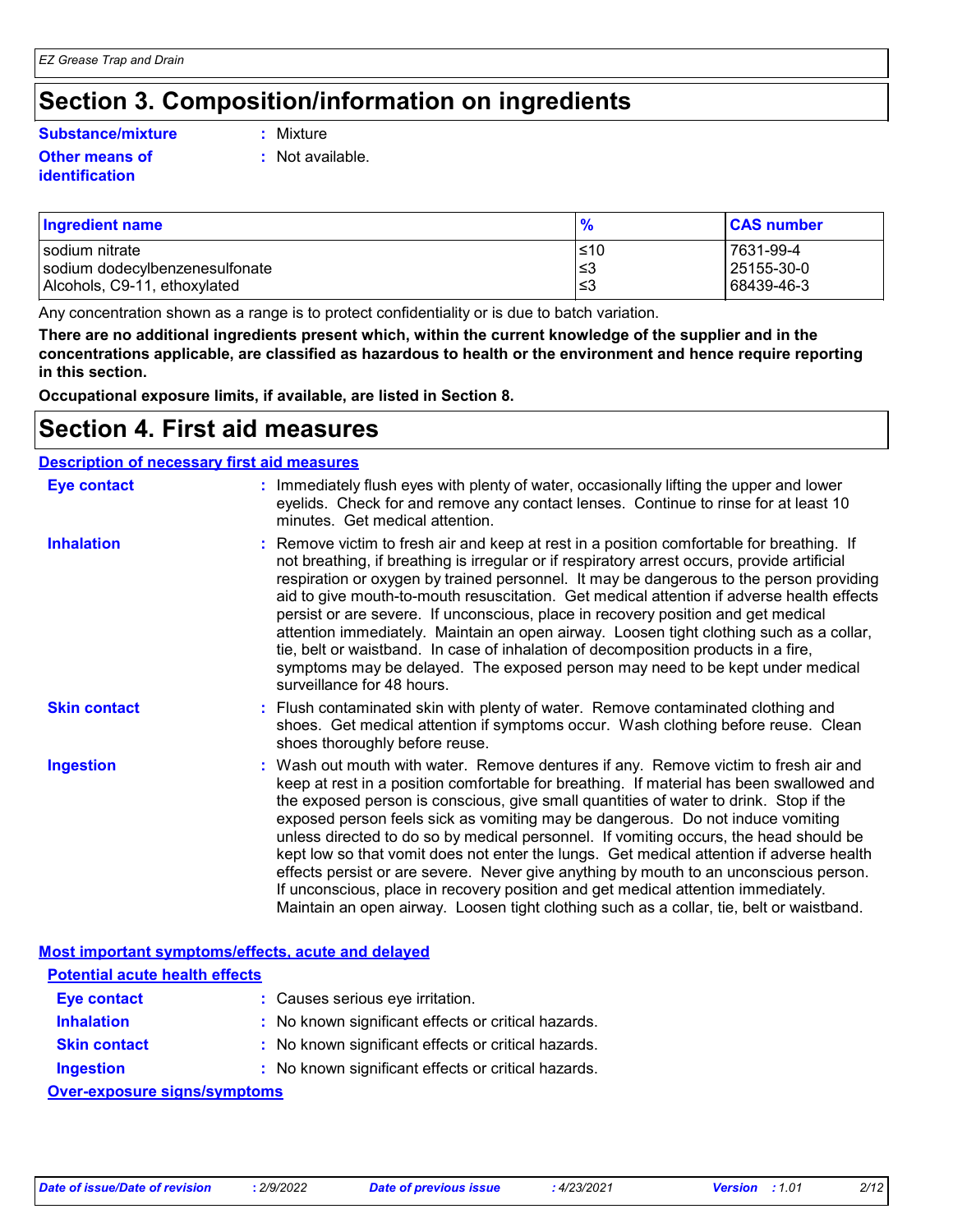### **Section 3. Composition/information on ingredients**

#### **Substance/mixture :**

#### **Other means of identification**

- : Mixture
- **:** Not available.

| <b>Ingredient name</b>         | $\frac{9}{6}$ | <b>CAS number</b> |
|--------------------------------|---------------|-------------------|
| I sodium nitrate               | l≤10          | 7631-99-4         |
| sodium dodecylbenzenesulfonate | ∣≤3           | 25155-30-0        |
| Alcohols, C9-11, ethoxylated   | '≤3           | 68439-46-3        |

Any concentration shown as a range is to protect confidentiality or is due to batch variation.

**There are no additional ingredients present which, within the current knowledge of the supplier and in the concentrations applicable, are classified as hazardous to health or the environment and hence require reporting in this section.**

**Occupational exposure limits, if available, are listed in Section 8.**

### **Section 4. First aid measures**

#### **Description of necessary first aid measures**

| <b>Eye contact</b>  | : Immediately flush eyes with plenty of water, occasionally lifting the upper and lower<br>eyelids. Check for and remove any contact lenses. Continue to rinse for at least 10<br>minutes. Get medical attention.                                                                                                                                                                                                                                                                                                                                                                                                                                                                                                                                                                                                         |
|---------------------|---------------------------------------------------------------------------------------------------------------------------------------------------------------------------------------------------------------------------------------------------------------------------------------------------------------------------------------------------------------------------------------------------------------------------------------------------------------------------------------------------------------------------------------------------------------------------------------------------------------------------------------------------------------------------------------------------------------------------------------------------------------------------------------------------------------------------|
| <b>Inhalation</b>   | : Remove victim to fresh air and keep at rest in a position comfortable for breathing. If<br>not breathing, if breathing is irregular or if respiratory arrest occurs, provide artificial<br>respiration or oxygen by trained personnel. It may be dangerous to the person providing<br>aid to give mouth-to-mouth resuscitation. Get medical attention if adverse health effects<br>persist or are severe. If unconscious, place in recovery position and get medical<br>attention immediately. Maintain an open airway. Loosen tight clothing such as a collar,<br>tie, belt or waistband. In case of inhalation of decomposition products in a fire,<br>symptoms may be delayed. The exposed person may need to be kept under medical<br>surveillance for 48 hours.                                                    |
| <b>Skin contact</b> | : Flush contaminated skin with plenty of water. Remove contaminated clothing and<br>shoes. Get medical attention if symptoms occur. Wash clothing before reuse. Clean<br>shoes thoroughly before reuse.                                                                                                                                                                                                                                                                                                                                                                                                                                                                                                                                                                                                                   |
| <b>Ingestion</b>    | : Wash out mouth with water. Remove dentures if any. Remove victim to fresh air and<br>keep at rest in a position comfortable for breathing. If material has been swallowed and<br>the exposed person is conscious, give small quantities of water to drink. Stop if the<br>exposed person feels sick as vomiting may be dangerous. Do not induce vomiting<br>unless directed to do so by medical personnel. If vomiting occurs, the head should be<br>kept low so that vomit does not enter the lungs. Get medical attention if adverse health<br>effects persist or are severe. Never give anything by mouth to an unconscious person.<br>If unconscious, place in recovery position and get medical attention immediately.<br>Maintain an open airway. Loosen tight clothing such as a collar, tie, belt or waistband. |

|                                       | Most important symptoms/effects, acute and delayed  |
|---------------------------------------|-----------------------------------------------------|
| <b>Potential acute health effects</b> |                                                     |
| Eye contact                           | : Causes serious eye irritation.                    |
| <b>Inhalation</b>                     | : No known significant effects or critical hazards. |
| <b>Skin contact</b>                   | : No known significant effects or critical hazards. |
| <b>Ingestion</b>                      | : No known significant effects or critical hazards. |
| Over-exposure signs/symptoms          |                                                     |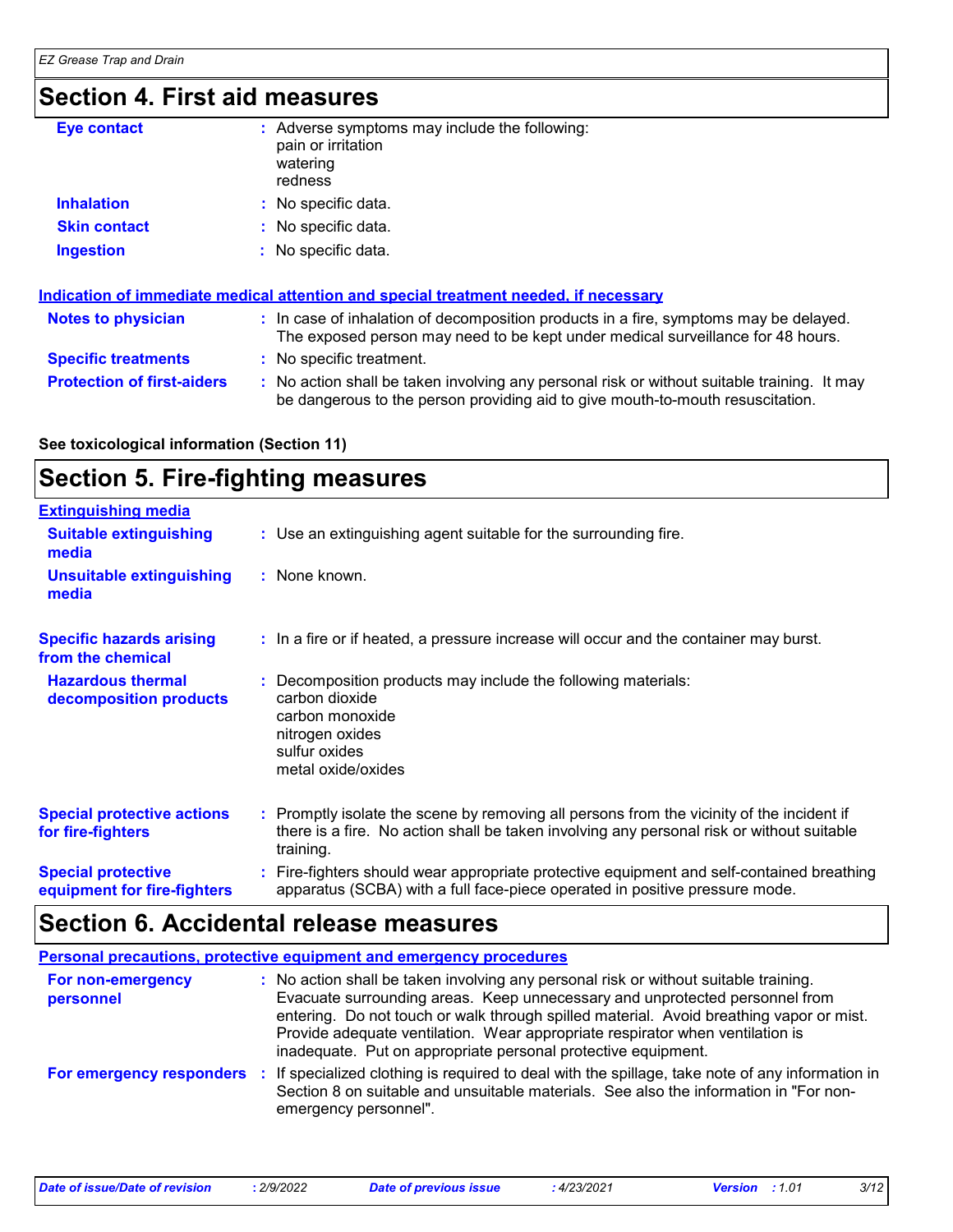### **Section 4. First aid measures**

| <b>Eye contact</b>  | : Adverse symptoms may include the following:<br>pain or irritation<br>watering<br>redness |
|---------------------|--------------------------------------------------------------------------------------------|
| <b>Inhalation</b>   | : No specific data.                                                                        |
| <b>Skin contact</b> | : No specific data.                                                                        |
| <b>Ingestion</b>    | : No specific data.                                                                        |

| Indication of immediate medical attention and special treatment needed, if necessary |                                                                                                                                                                               |  |  |
|--------------------------------------------------------------------------------------|-------------------------------------------------------------------------------------------------------------------------------------------------------------------------------|--|--|
| <b>Notes to physician</b>                                                            | : In case of inhalation of decomposition products in a fire, symptoms may be delayed.<br>The exposed person may need to be kept under medical surveillance for 48 hours.      |  |  |
| <b>Specific treatments</b>                                                           | : No specific treatment.                                                                                                                                                      |  |  |
| <b>Protection of first-aiders</b>                                                    | : No action shall be taken involving any personal risk or without suitable training. It may<br>be dangerous to the person providing aid to give mouth-to-mouth resuscitation. |  |  |

### **See toxicological information (Section 11)**

### **Section 5. Fire-fighting measures**

| <b>Extinguishing media</b>                               |                                                                                                                                                                                                     |
|----------------------------------------------------------|-----------------------------------------------------------------------------------------------------------------------------------------------------------------------------------------------------|
| <b>Suitable extinguishing</b><br>media                   | : Use an extinguishing agent suitable for the surrounding fire.                                                                                                                                     |
| <b>Unsuitable extinguishing</b><br>media                 | : None known.                                                                                                                                                                                       |
| <b>Specific hazards arising</b><br>from the chemical     | : In a fire or if heated, a pressure increase will occur and the container may burst.                                                                                                               |
| <b>Hazardous thermal</b><br>decomposition products       | Decomposition products may include the following materials:<br>carbon dioxide<br>carbon monoxide<br>nitrogen oxides<br>sulfur oxides<br>metal oxide/oxides                                          |
| <b>Special protective actions</b><br>for fire-fighters   | : Promptly isolate the scene by removing all persons from the vicinity of the incident if<br>there is a fire. No action shall be taken involving any personal risk or without suitable<br>training. |
| <b>Special protective</b><br>equipment for fire-fighters | Fire-fighters should wear appropriate protective equipment and self-contained breathing<br>apparatus (SCBA) with a full face-piece operated in positive pressure mode.                              |

## **Section 6. Accidental release measures**

| <b>Personal precautions, protective equipment and emergency procedures</b> |                                                                                                                                                                                                                                                                                                                                                                                                                  |  |  |  |
|----------------------------------------------------------------------------|------------------------------------------------------------------------------------------------------------------------------------------------------------------------------------------------------------------------------------------------------------------------------------------------------------------------------------------------------------------------------------------------------------------|--|--|--|
| For non-emergency<br>personnel                                             | : No action shall be taken involving any personal risk or without suitable training.<br>Evacuate surrounding areas. Keep unnecessary and unprotected personnel from<br>entering. Do not touch or walk through spilled material. Avoid breathing vapor or mist.<br>Provide adequate ventilation. Wear appropriate respirator when ventilation is<br>inadequate. Put on appropriate personal protective equipment. |  |  |  |
| For emergency responders                                                   | : If specialized clothing is required to deal with the spillage, take note of any information in<br>Section 8 on suitable and unsuitable materials. See also the information in "For non-<br>emergency personnel".                                                                                                                                                                                               |  |  |  |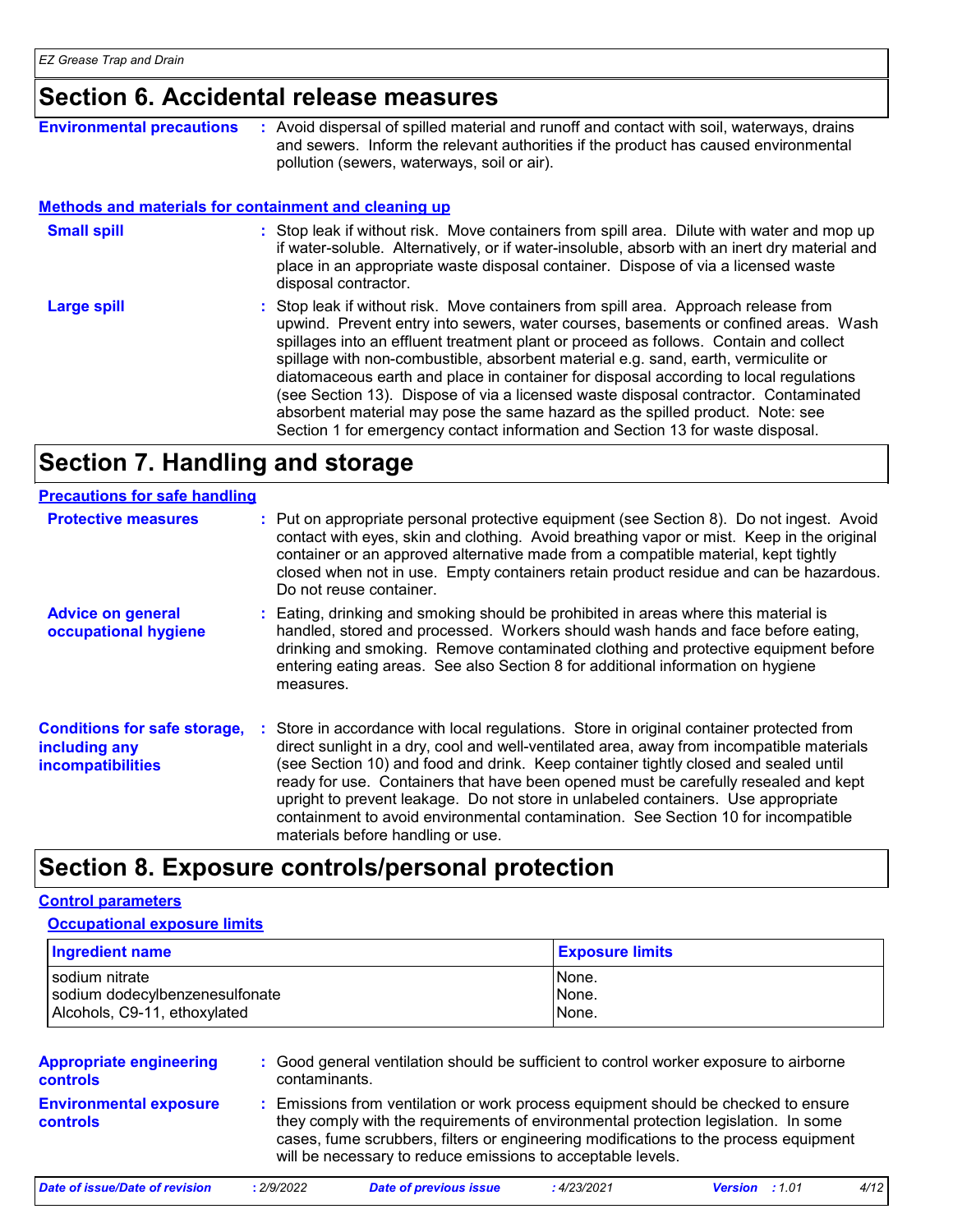### **Section 6. Accidental release measures**

| <b>Environmental precautions</b>                      | Avoid dispersal of spilled material and runoff and contact with soil, waterways, drains<br>and sewers. Inform the relevant authorities if the product has caused environmental<br>pollution (sewers, waterways, soil or air).                                                                                                                          |
|-------------------------------------------------------|--------------------------------------------------------------------------------------------------------------------------------------------------------------------------------------------------------------------------------------------------------------------------------------------------------------------------------------------------------|
| Methods and materials for containment and cleaning up |                                                                                                                                                                                                                                                                                                                                                        |
| <b>Small spill</b>                                    | : Stop leak if without risk. Move containers from spill area. Dilute with water and mop up<br>if water-soluble. Alternatively, or if water-insoluble, absorb with an inert dry material and<br>place in an appropriate waste disposal container. Dispose of via a licensed waste<br>disposal contractor.                                               |
| <b>Large spill</b>                                    | Stop leak if without risk. Move containers from spill area. Approach release from<br>upwind. Prevent entry into sewers, water courses, basements or confined areas. Wash<br>spillages into an effluent treatment plant or proceed as follows. Contain and collect<br>anillono ujith non qombustible, aboarhant material o a sand, anthu usrmiqulito er |

spillage with non-combustible, absorbent material e.g. sand, earth, vermiculite or diatomaceous earth and place in container for disposal according to local regulations (see Section 13). Dispose of via a licensed waste disposal contractor. Contaminated absorbent material may pose the same hazard as the spilled product. Note: see Section 1 for emergency contact information and Section 13 for waste disposal.

### **Section 7. Handling and storage**

#### **Precautions for safe handling**

| <u>1998819119 191 9819 11811811113</u>                                           |                                                                                                                                                                                                                                                                                                                                                                                                                                                                                                                                                                                    |
|----------------------------------------------------------------------------------|------------------------------------------------------------------------------------------------------------------------------------------------------------------------------------------------------------------------------------------------------------------------------------------------------------------------------------------------------------------------------------------------------------------------------------------------------------------------------------------------------------------------------------------------------------------------------------|
| <b>Protective measures</b>                                                       | : Put on appropriate personal protective equipment (see Section 8). Do not ingest. Avoid<br>contact with eyes, skin and clothing. Avoid breathing vapor or mist. Keep in the original<br>container or an approved alternative made from a compatible material, kept tightly<br>closed when not in use. Empty containers retain product residue and can be hazardous.<br>Do not reuse container.                                                                                                                                                                                    |
| <b>Advice on general</b><br>occupational hygiene                                 | : Eating, drinking and smoking should be prohibited in areas where this material is<br>handled, stored and processed. Workers should wash hands and face before eating,<br>drinking and smoking. Remove contaminated clothing and protective equipment before<br>entering eating areas. See also Section 8 for additional information on hygiene<br>measures.                                                                                                                                                                                                                      |
| <b>Conditions for safe storage,</b><br>including any<br><b>incompatibilities</b> | : Store in accordance with local regulations. Store in original container protected from<br>direct sunlight in a dry, cool and well-ventilated area, away from incompatible materials<br>(see Section 10) and food and drink. Keep container tightly closed and sealed until<br>ready for use. Containers that have been opened must be carefully resealed and kept<br>upright to prevent leakage. Do not store in unlabeled containers. Use appropriate<br>containment to avoid environmental contamination. See Section 10 for incompatible<br>materials before handling or use. |

### **Section 8. Exposure controls/personal protection**

### **Control parameters**

#### **Occupational exposure limits**

| <b>Ingredient name</b>         | <b>Exposure limits</b> |
|--------------------------------|------------------------|
| sodium nitrate                 | None.                  |
| sodium dodecylbenzenesulfonate | None.                  |
| Alcohols, C9-11, ethoxylated   | None.                  |

| <b>Appropriate engineering</b><br><b>controls</b> |            | : Good general ventilation should be sufficient to control worker exposure to airborne<br>contaminants.                                                                                                                                                                                                                         |            |                       |  |      |
|---------------------------------------------------|------------|---------------------------------------------------------------------------------------------------------------------------------------------------------------------------------------------------------------------------------------------------------------------------------------------------------------------------------|------------|-----------------------|--|------|
| <b>Environmental exposure</b><br><b>controls</b>  |            | : Emissions from ventilation or work process equipment should be checked to ensure<br>they comply with the requirements of environmental protection legislation. In some<br>cases, fume scrubbers, filters or engineering modifications to the process equipment<br>will be necessary to reduce emissions to acceptable levels. |            |                       |  |      |
| Date of issue/Date of revision                    | : 2/9/2022 | <b>Date of previous issue</b>                                                                                                                                                                                                                                                                                                   | :4/23/2021 | <b>Version</b> : 1.01 |  | 4/12 |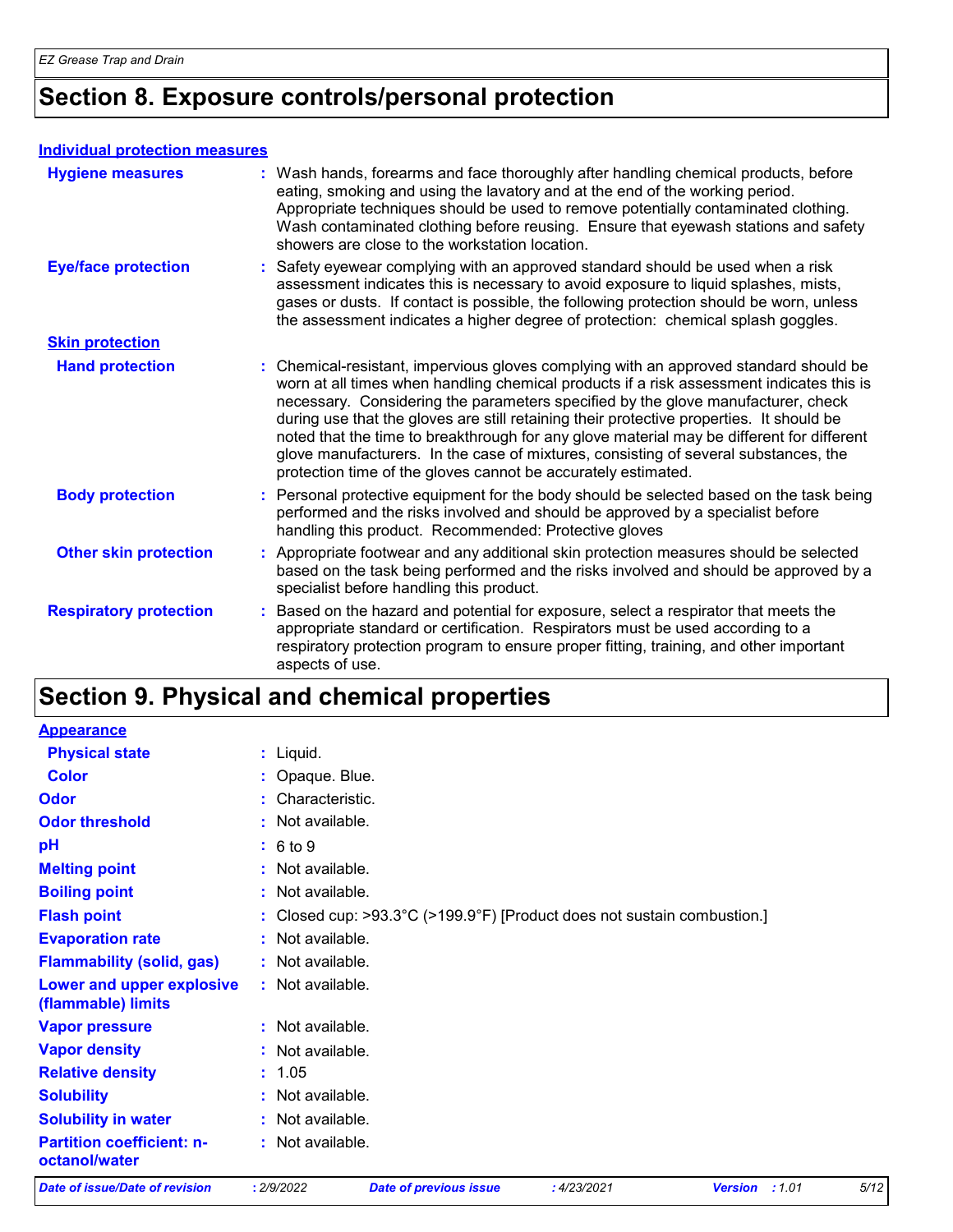### **Section 8. Exposure controls/personal protection**

#### **Individual protection measures**

| <b>Hygiene measures</b>       | : Wash hands, forearms and face thoroughly after handling chemical products, before<br>eating, smoking and using the lavatory and at the end of the working period.<br>Appropriate techniques should be used to remove potentially contaminated clothing.<br>Wash contaminated clothing before reusing. Ensure that eyewash stations and safety<br>showers are close to the workstation location.                                                                                                                                                                                                                      |
|-------------------------------|------------------------------------------------------------------------------------------------------------------------------------------------------------------------------------------------------------------------------------------------------------------------------------------------------------------------------------------------------------------------------------------------------------------------------------------------------------------------------------------------------------------------------------------------------------------------------------------------------------------------|
| <b>Eye/face protection</b>    | : Safety eyewear complying with an approved standard should be used when a risk<br>assessment indicates this is necessary to avoid exposure to liquid splashes, mists,<br>gases or dusts. If contact is possible, the following protection should be worn, unless<br>the assessment indicates a higher degree of protection: chemical splash goggles.                                                                                                                                                                                                                                                                  |
| <b>Skin protection</b>        |                                                                                                                                                                                                                                                                                                                                                                                                                                                                                                                                                                                                                        |
| <b>Hand protection</b>        | : Chemical-resistant, impervious gloves complying with an approved standard should be<br>worn at all times when handling chemical products if a risk assessment indicates this is<br>necessary. Considering the parameters specified by the glove manufacturer, check<br>during use that the gloves are still retaining their protective properties. It should be<br>noted that the time to breakthrough for any glove material may be different for different<br>glove manufacturers. In the case of mixtures, consisting of several substances, the<br>protection time of the gloves cannot be accurately estimated. |
| <b>Body protection</b>        | : Personal protective equipment for the body should be selected based on the task being<br>performed and the risks involved and should be approved by a specialist before<br>handling this product. Recommended: Protective gloves                                                                                                                                                                                                                                                                                                                                                                                     |
| <b>Other skin protection</b>  | : Appropriate footwear and any additional skin protection measures should be selected<br>based on the task being performed and the risks involved and should be approved by a<br>specialist before handling this product.                                                                                                                                                                                                                                                                                                                                                                                              |
| <b>Respiratory protection</b> | : Based on the hazard and potential for exposure, select a respirator that meets the<br>appropriate standard or certification. Respirators must be used according to a<br>respiratory protection program to ensure proper fitting, training, and other important<br>aspects of use.                                                                                                                                                                                                                                                                                                                                    |

### **Section 9. Physical and chemical properties**

| <b>Appearance</b>                                 |                                                                         |
|---------------------------------------------------|-------------------------------------------------------------------------|
| <b>Physical state</b>                             | $:$ Liquid.                                                             |
| <b>Color</b>                                      | : Opaque. Blue.                                                         |
| Odor                                              | : Characteristic.                                                       |
| <b>Odor threshold</b>                             | $:$ Not available.                                                      |
| pH                                                | : 6 to 9                                                                |
| <b>Melting point</b>                              | $:$ Not available.                                                      |
| <b>Boiling point</b>                              | : Not available.                                                        |
| <b>Flash point</b>                                | : Closed cup: >93.3°C (>199.9°F) [Product does not sustain combustion.] |
| <b>Evaporation rate</b>                           | : Not available.                                                        |
| <b>Flammability (solid, gas)</b>                  | : Not available.                                                        |
| Lower and upper explosive<br>(flammable) limits   | : Not available.                                                        |
| <b>Vapor pressure</b>                             | : Not available.                                                        |
| <b>Vapor density</b>                              | : Not available.                                                        |
| <b>Relative density</b>                           | : 1.05                                                                  |
| <b>Solubility</b>                                 | : Not available.                                                        |
| <b>Solubility in water</b>                        | : Not available.                                                        |
| <b>Partition coefficient: n-</b><br>octanol/water | : Not available.                                                        |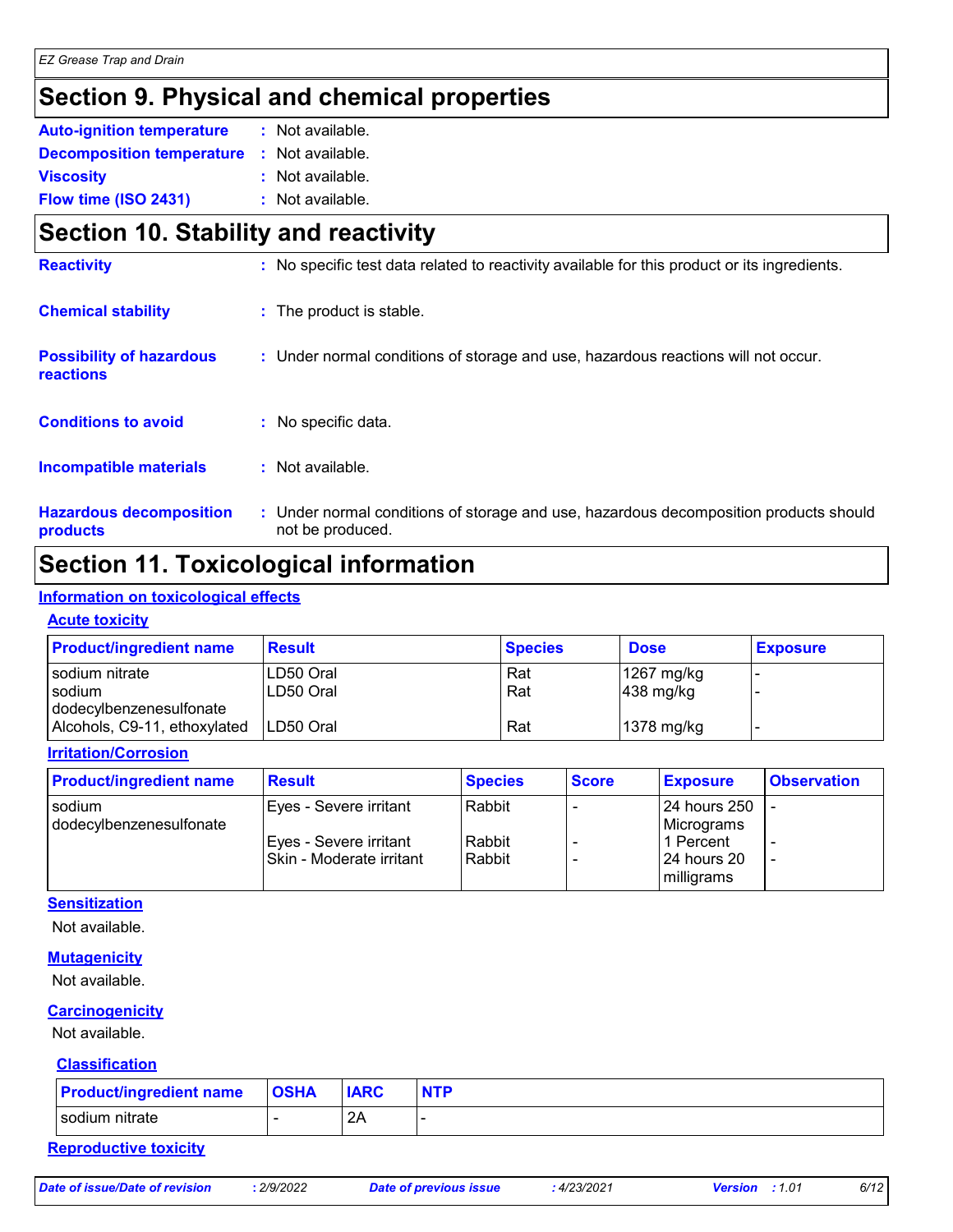### **Section 9. Physical and chemical properties**

| <b>Auto-ignition temperature</b> | : Not available. |
|----------------------------------|------------------|
| <b>Decomposition temperature</b> | : Not available. |
| <b>Viscosity</b>                 | : Not available. |
| Flow time (ISO 2431)             | : Not available. |

### **Section 10. Stability and reactivity**

| <b>Reactivity</b>                            | : No specific test data related to reactivity available for this product or its ingredients.              |
|----------------------------------------------|-----------------------------------------------------------------------------------------------------------|
| <b>Chemical stability</b>                    | : The product is stable.                                                                                  |
| <b>Possibility of hazardous</b><br>reactions | : Under normal conditions of storage and use, hazardous reactions will not occur.                         |
| <b>Conditions to avoid</b>                   | : No specific data.                                                                                       |
| <b>Incompatible materials</b>                | $:$ Not available.                                                                                        |
| <b>Hazardous decomposition</b><br>products   | : Under normal conditions of storage and use, hazardous decomposition products should<br>not be produced. |

### **Section 11. Toxicological information**

#### **Information on toxicological effects**

#### **Acute toxicity**

| <b>Product/ingredient name</b>                          | <b>Result</b>          | <b>Species</b> | <b>Dose</b>                         | <b>Exposure</b> |
|---------------------------------------------------------|------------------------|----------------|-------------------------------------|-----------------|
| l sodium nitrate<br>sodium                              | LD50 Oral<br>LD50 Oral | Rat<br>Rat     | 1267 mg/kg<br>$ 438 \text{ mg/kg} $ |                 |
| dodecylbenzenesulfonate<br>Alcohols, C9-11, ethoxylated | LD50 Oral              | Rat            | 1378 mg/kg                          |                 |

#### **Irritation/Corrosion**

| <b>Product/ingredient name</b> | <b>Result</b>            | <b>Species</b> | <b>Score</b> | <b>Exposure</b>     | <b>Observation</b> |
|--------------------------------|--------------------------|----------------|--------------|---------------------|--------------------|
| sodium                         | Eyes - Severe irritant   | Rabbit         |              | <b>24 hours 250</b> |                    |
| dodecylbenzenesulfonate        |                          |                |              | Micrograms          |                    |
|                                | Eyes - Severe irritant   | Rabbit         |              | 1 Percent           |                    |
|                                | Skin - Moderate irritant | Rabbit         |              | 124 hours 20        |                    |
|                                |                          |                |              | milligrams          |                    |

#### **Sensitization**

Not available.

#### **Mutagenicity**

Not available.

#### **Carcinogenicity**

Not available.

#### **Classification**

| <b>Product/ingredient name</b> | <b>OSHA</b> | <b>IARC</b> | <b>NTP</b> |
|--------------------------------|-------------|-------------|------------|
| sodium nitrate                 |             | 24<br>∠г    |            |

#### **Reproductive toxicity**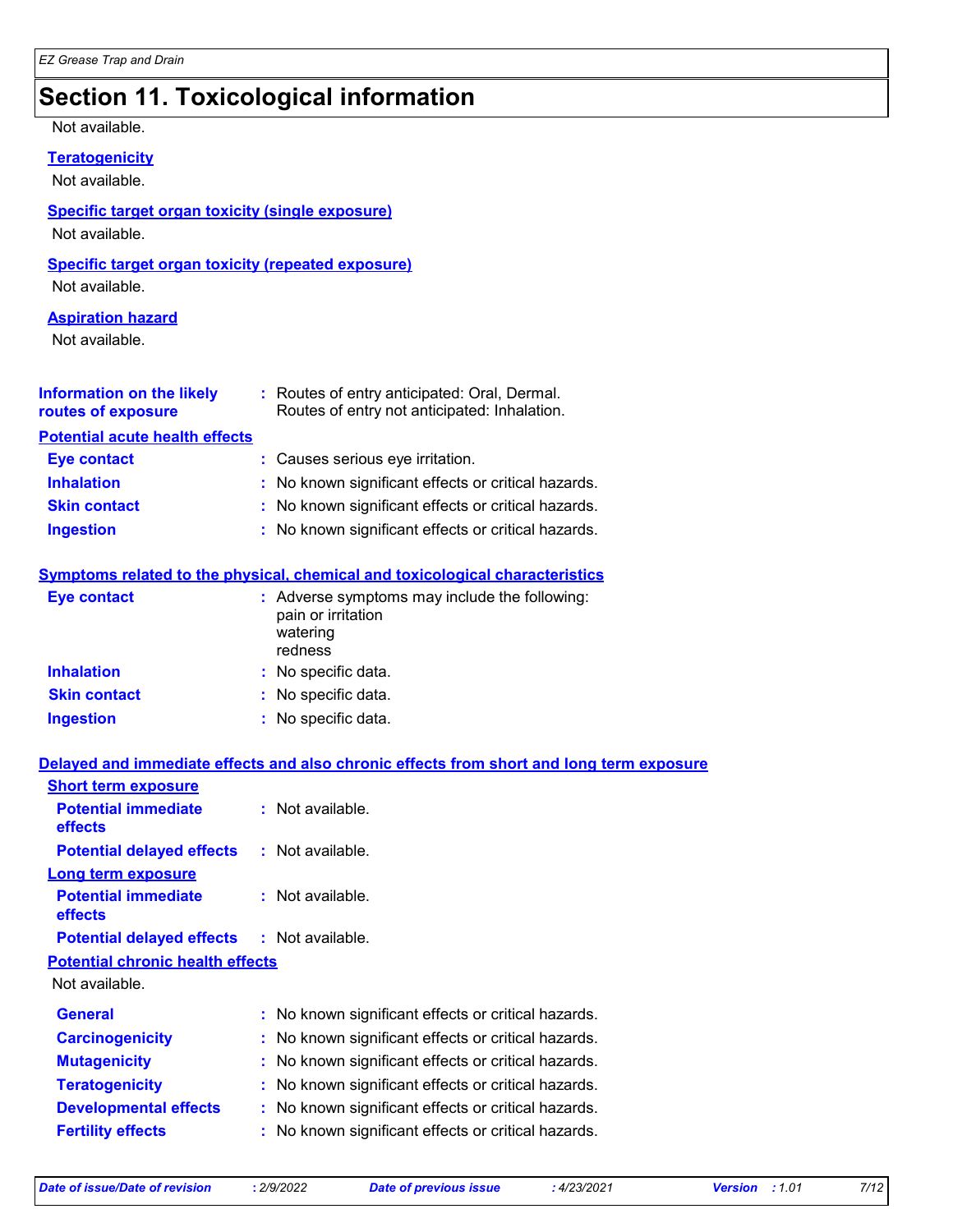### **Section 11. Toxicological information**

#### Not available.

#### **Teratogenicity**

Not available.

#### **Specific target organ toxicity (single exposure)**

Not available.

#### **Specific target organ toxicity (repeated exposure)**

Not available.

#### **Aspiration hazard**

Not available.

| <b>Information on the likely</b><br>routes of exposure | : Routes of entry anticipated: Oral, Dermal.<br>Routes of entry not anticipated: Inhalation. |
|--------------------------------------------------------|----------------------------------------------------------------------------------------------|
| <b>Potential acute health effects</b>                  |                                                                                              |
| <b>Eye contact</b>                                     | : Causes serious eye irritation.                                                             |
| <b>Inhalation</b>                                      | : No known significant effects or critical hazards.                                          |
| <b>Skin contact</b>                                    | : No known significant effects or critical hazards.                                          |
| <b>Ingestion</b>                                       | : No known significant effects or critical hazards.                                          |

#### **Symptoms related to the physical, chemical and toxicological characteristics**

| Eye contact         | : Adverse symptoms may include the following:<br>pain or irritation<br>watering<br>redness |
|---------------------|--------------------------------------------------------------------------------------------|
| <b>Inhalation</b>   | : No specific data.                                                                        |
| <b>Skin contact</b> | : No specific data.                                                                        |
| <b>Ingestion</b>    | : No specific data.                                                                        |

#### **Delayed and immediate effects and also chronic effects from short and long term exposure**

| <b>Short term exposure</b>              |                                                     |
|-----------------------------------------|-----------------------------------------------------|
| <b>Potential immediate</b><br>effects   | $:$ Not available.                                  |
| <b>Potential delayed effects</b>        | : Not available.                                    |
| <b>Long term exposure</b>               |                                                     |
| <b>Potential immediate</b><br>effects   | $:$ Not available.                                  |
| <b>Potential delayed effects</b>        | : Not available.                                    |
| <b>Potential chronic health effects</b> |                                                     |
| Not available.                          |                                                     |
| <b>General</b>                          | : No known significant effects or critical hazards. |
| <b>Carcinogenicity</b>                  | : No known significant effects or critical hazards. |
| <b>Mutagenicity</b>                     | : No known significant effects or critical hazards. |
| <b>Teratogenicity</b>                   | : No known significant effects or critical hazards. |
| <b>Developmental effects</b>            | : No known significant effects or critical hazards. |
| <b>Fertility effects</b>                | : No known significant effects or critical hazards. |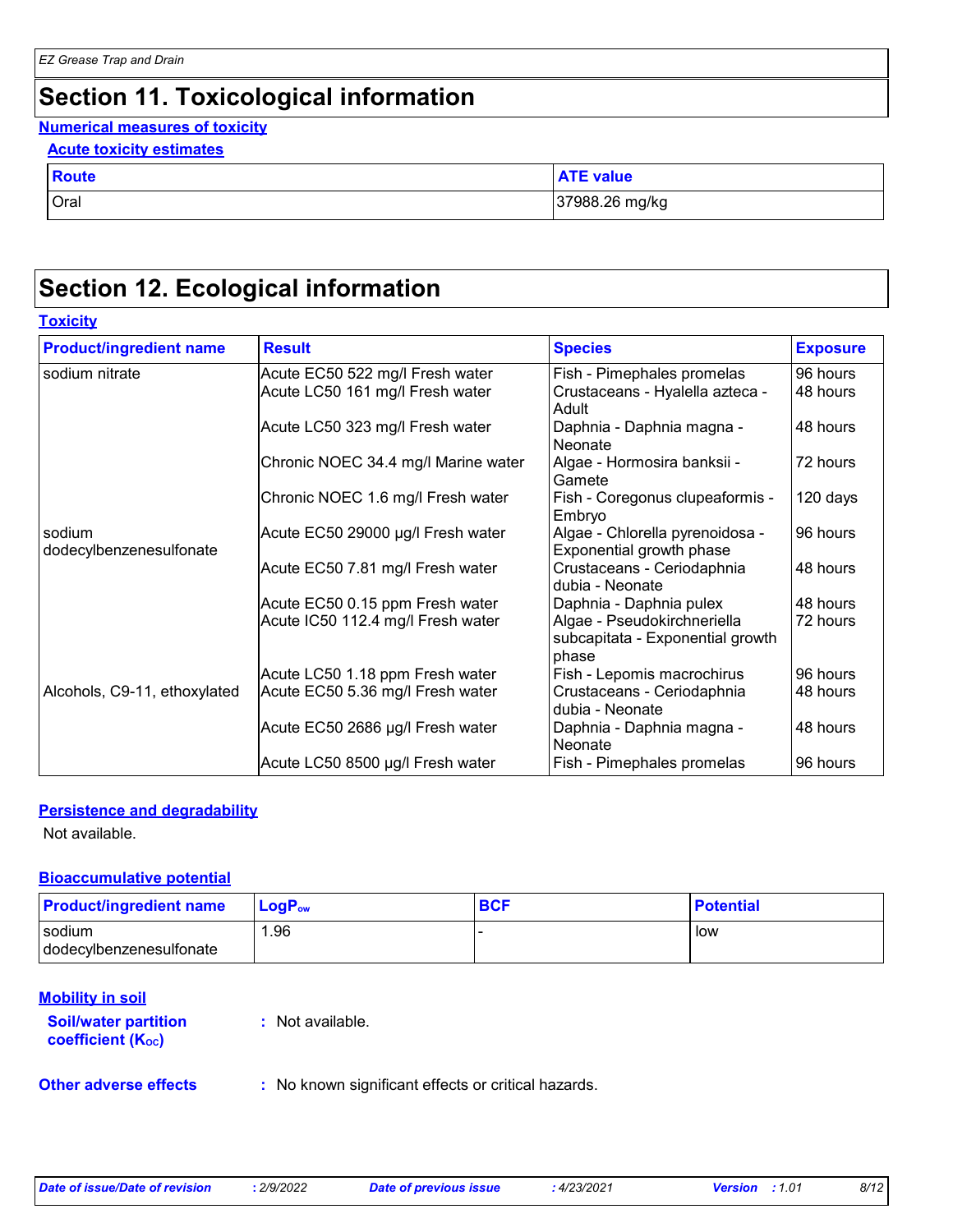### **Section 11. Toxicological information**

#### **Numerical measures of toxicity**

#### **Acute toxicity estimates**

| <b>Route</b> | <b>ATE value</b> |
|--------------|------------------|
| Oral         | 37988.26 mg/kg   |

### **Section 12. Ecological information**

#### **Toxicity**

| <b>Product/ingredient name</b>    | <b>Result</b>                       | <b>Species</b>                                                           | <b>Exposure</b> |
|-----------------------------------|-------------------------------------|--------------------------------------------------------------------------|-----------------|
| sodium nitrate                    | Acute EC50 522 mg/l Fresh water     | Fish - Pimephales promelas                                               | 96 hours        |
|                                   | Acute LC50 161 mg/l Fresh water     | Crustaceans - Hyalella azteca -<br>Adult                                 | 48 hours        |
|                                   | Acute LC50 323 mg/l Fresh water     | Daphnia - Daphnia magna -<br>Neonate                                     | 48 hours        |
|                                   | Chronic NOEC 34.4 mg/l Marine water | Algae - Hormosira banksii -<br>Gamete                                    | 72 hours        |
|                                   | Chronic NOEC 1.6 mg/l Fresh water   | Fish - Coregonus clupeaformis -<br>Embryo                                | 120 days        |
| sodium<br>dodecylbenzenesulfonate | Acute EC50 29000 µg/l Fresh water   | Algae - Chlorella pyrenoidosa -<br>Exponential growth phase              | 96 hours        |
|                                   | Acute EC50 7.81 mg/l Fresh water    | Crustaceans - Ceriodaphnia<br>dubia - Neonate                            | 48 hours        |
|                                   | Acute EC50 0.15 ppm Fresh water     | Daphnia - Daphnia pulex                                                  | 48 hours        |
|                                   | Acute IC50 112.4 mg/l Fresh water   | Algae - Pseudokirchneriella<br>subcapitata - Exponential growth<br>phase | 72 hours        |
|                                   | Acute LC50 1.18 ppm Fresh water     | Fish - Lepomis macrochirus                                               | 96 hours        |
| Alcohols, C9-11, ethoxylated      | Acute EC50 5.36 mg/l Fresh water    | Crustaceans - Ceriodaphnia<br>dubia - Neonate                            | 48 hours        |
|                                   | Acute EC50 2686 µg/l Fresh water    | Daphnia - Daphnia magna -<br>Neonate                                     | 48 hours        |
|                                   | Acute LC50 8500 µg/l Fresh water    | Fish - Pimephales promelas                                               | 96 hours        |

#### **Persistence and degradability**

Not available.

#### **Bioaccumulative potential**

| <b>Product/ingredient name</b> | <b>LogP</b> <sub>ow</sub> | <b>BCF</b> | <b>Potential</b> |
|--------------------------------|---------------------------|------------|------------------|
| sodium                         | .96                       |            | low              |
| dodecylbenzenesulfonate        |                           |            |                  |

#### **Mobility in soil**

**Soil/water partition coefficient (KOC)**

**:** Not available.

**Other adverse effects** : No known significant effects or critical hazards.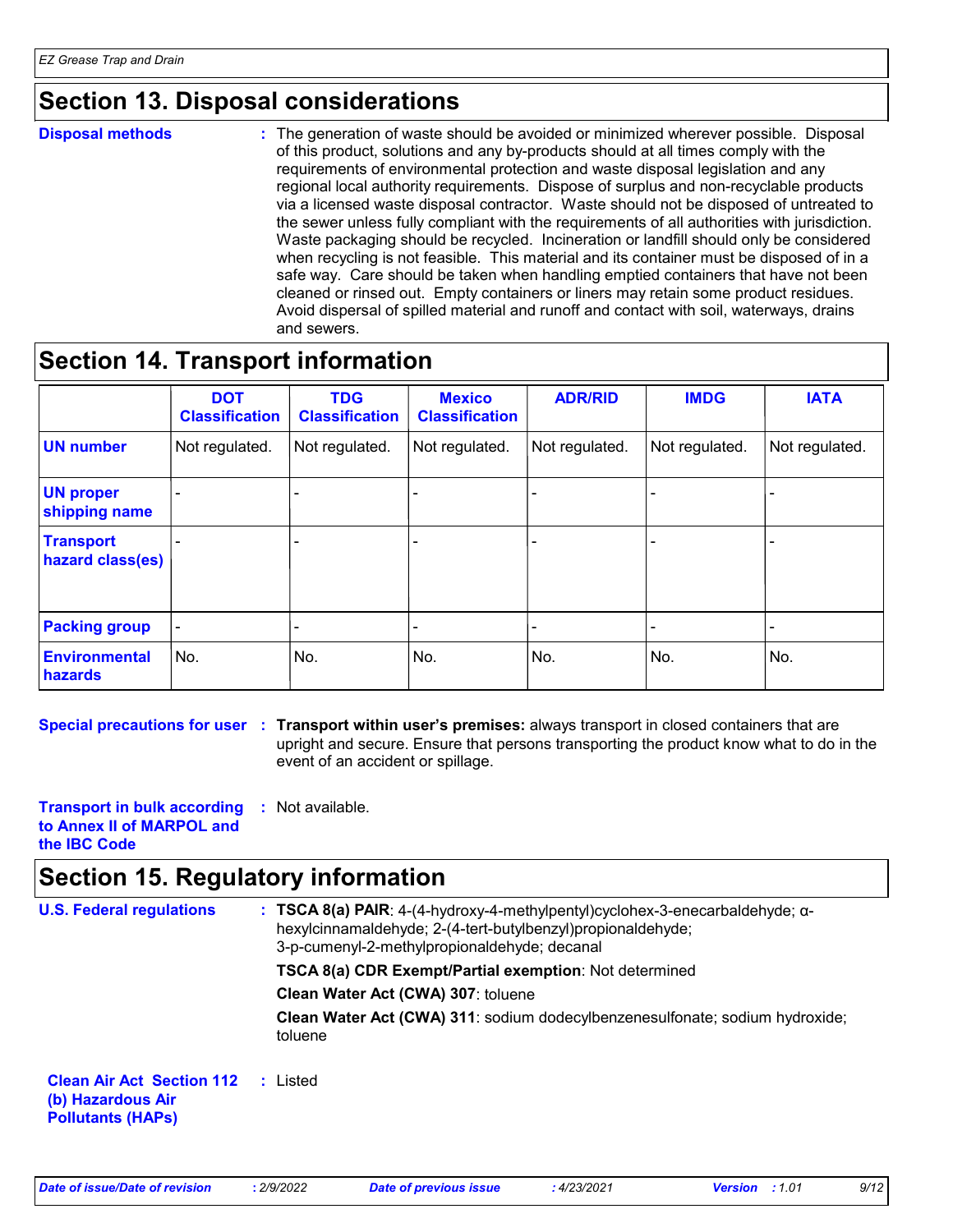### **Section 13. Disposal considerations**

**Disposal methods :**

The generation of waste should be avoided or minimized wherever possible. Disposal of this product, solutions and any by-products should at all times comply with the requirements of environmental protection and waste disposal legislation and any regional local authority requirements. Dispose of surplus and non-recyclable products via a licensed waste disposal contractor. Waste should not be disposed of untreated to the sewer unless fully compliant with the requirements of all authorities with jurisdiction. Waste packaging should be recycled. Incineration or landfill should only be considered when recycling is not feasible. This material and its container must be disposed of in a safe way. Care should be taken when handling emptied containers that have not been cleaned or rinsed out. Empty containers or liners may retain some product residues. Avoid dispersal of spilled material and runoff and contact with soil, waterways, drains and sewers.

### **Section 14. Transport information**

|                                        | <b>DOT</b><br><b>Classification</b> | <b>TDG</b><br><b>Classification</b> | <b>Mexico</b><br><b>Classification</b> | <b>ADR/RID</b> | <b>IMDG</b>    | <b>IATA</b>    |
|----------------------------------------|-------------------------------------|-------------------------------------|----------------------------------------|----------------|----------------|----------------|
| <b>UN number</b>                       | Not regulated.                      | Not regulated.                      | Not regulated.                         | Not regulated. | Not regulated. | Not regulated. |
| <b>UN proper</b><br>shipping name      |                                     |                                     |                                        |                |                |                |
| <b>Transport</b><br>hazard class(es)   |                                     |                                     |                                        |                |                | ۰              |
| <b>Packing group</b>                   |                                     |                                     |                                        |                |                |                |
| <b>Environmental</b><br><b>hazards</b> | No.                                 | No.                                 | No.                                    | No.            | No.            | No.            |

**Special precautions for user** : Transport within user's premises: always transport in closed containers that are upright and secure. Ensure that persons transporting the product know what to do in the event of an accident or spillage.

**Transport in bulk according :** Not available. **to Annex II of MARPOL and the IBC Code**

### **Section 15. Regulatory information**

| <b>U.S. Federal regulations</b>                                                   | : TSCA 8(a) PAIR: 4-(4-hydroxy-4-methylpentyl)cyclohex-3-enecarbaldehyde; $\alpha$ -<br>hexylcinnamaldehyde; 2-(4-tert-butylbenzyl) propionaldehyde;<br>3-p-cumenyl-2-methylpropionaldehyde; decanal |
|-----------------------------------------------------------------------------------|------------------------------------------------------------------------------------------------------------------------------------------------------------------------------------------------------|
|                                                                                   | TSCA 8(a) CDR Exempt/Partial exemption: Not determined                                                                                                                                               |
|                                                                                   | Clean Water Act (CWA) 307: toluene                                                                                                                                                                   |
|                                                                                   | Clean Water Act (CWA) 311: sodium dodecylbenzenesulfonate; sodium hydroxide;<br>toluene                                                                                                              |
| <b>Clean Air Act Section 112</b><br>(b) Hazardous Air<br><b>Pollutants (HAPS)</b> | : Listed                                                                                                                                                                                             |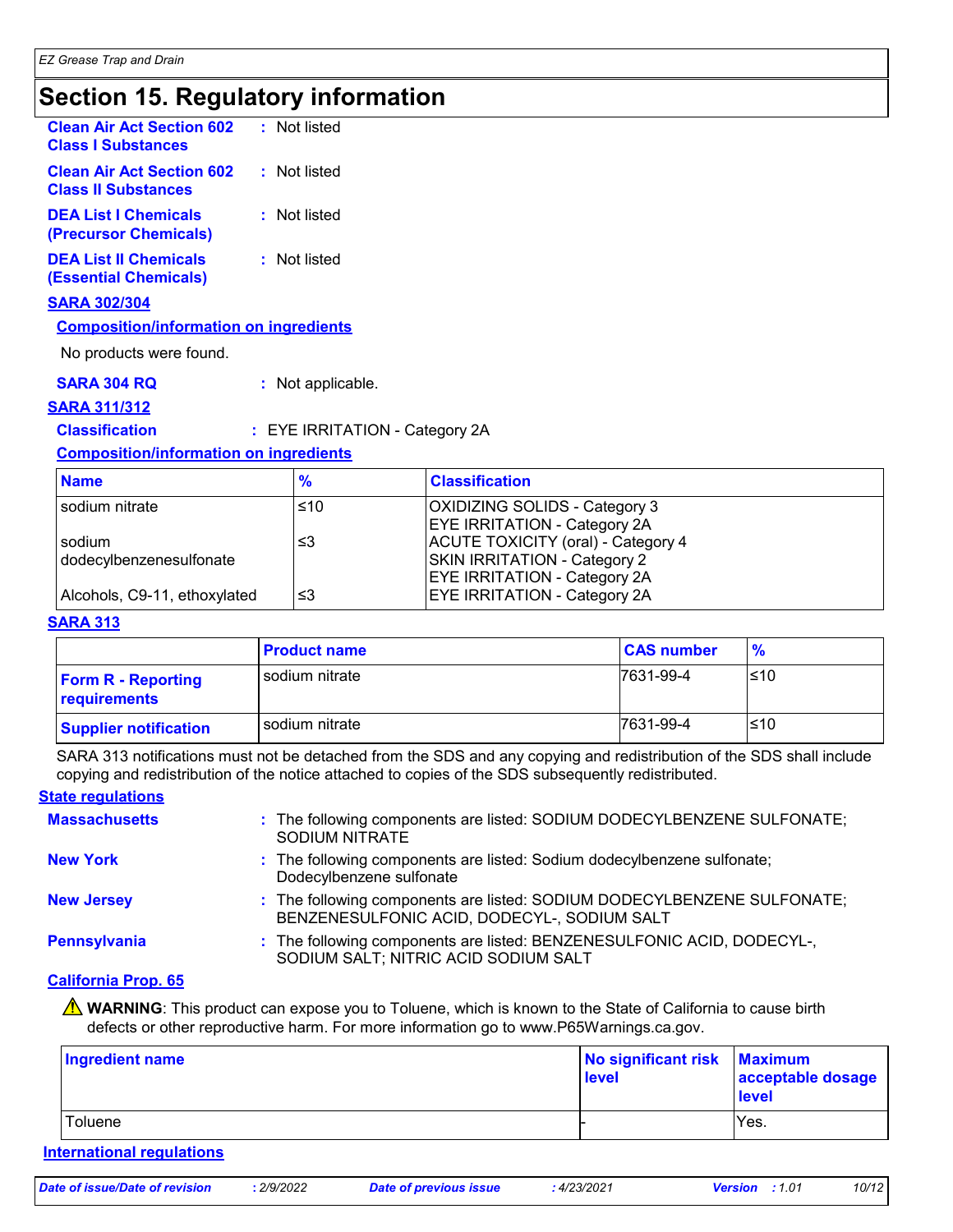### **Section 15. Regulatory information**

| <b>Clean Air Act Section 602</b><br><b>Class I Substances</b>  | : Not listed |
|----------------------------------------------------------------|--------------|
| <b>Clean Air Act Section 602</b><br><b>Class II Substances</b> | : Not listed |
| <b>DEA List I Chemicals</b><br>(Precursor Chemicals)           | : Not listed |
| <b>DEA List II Chemicals</b><br><b>(Essential Chemicals)</b>   | : Not listed |

**SARA 302/304**

#### **Composition/information on ingredients**

No products were found.

**SARA 304 RQ :** Not applicable.

#### **SARA 311/312**

#### **Classification :** EYE IRRITATION - Category 2A

#### **Composition/information on ingredients**

| <b>Name</b>                  | $\frac{9}{6}$ | <b>Classification</b>               |
|------------------------------|---------------|-------------------------------------|
| sodium nitrate               | ≤10           | OXIDIZING SOLIDS - Category 3       |
|                              |               | <b>EYE IRRITATION - Category 2A</b> |
| sodium                       | ו≥ ≥          | ACUTE TOXICITY (oral) - Category 4  |
| dodecylbenzenesulfonate      |               | SKIN IRRITATION - Category 2        |
|                              |               | <b>EYE IRRITATION - Category 2A</b> |
| Alcohols, C9-11, ethoxylated | צ≥            | <b>EYE IRRITATION - Category 2A</b> |

#### **SARA 313**

|                                           | <b>Product name</b> | <b>CAS number</b> | $\frac{9}{6}$ |
|-------------------------------------------|---------------------|-------------------|---------------|
| <b>Form R - Reporting</b><br>requirements | sodium nitrate      | 7631-99-4         | l≤10          |
| <b>Supplier notification</b>              | sodium nitrate      | 7631-99-4         | l≤10          |

SARA 313 notifications must not be detached from the SDS and any copying and redistribution of the SDS shall include copying and redistribution of the notice attached to copies of the SDS subsequently redistributed.

#### **State regulations**

| <b>Massachusetts</b> | : The following components are listed: SODIUM DODECYLBENZENE SULFONATE;<br><b>SODIUM NITRATE</b>                       |
|----------------------|------------------------------------------------------------------------------------------------------------------------|
| <b>New York</b>      | : The following components are listed: Sodium dodecylbenzene sulfonate;<br>Dodecylbenzene sulfonate                    |
| <b>New Jersey</b>    | : The following components are listed: SODIUM DODECYLBENZENE SULFONATE;<br>BENZENESULFONIC ACID, DODECYL-, SODIUM SALT |
| Pennsylvania         | : The following components are listed: BENZENESULFONIC ACID, DODECYL-,<br>SODIUM SALT; NITRIC ACID SODIUM SALT         |

#### **California Prop. 65**

**A** WARNING: This product can expose you to Toluene, which is known to the State of California to cause birth defects or other reproductive harm. For more information go to www.P65Warnings.ca.gov.

| Ingredient name | No significant risk Maximum<br>level | acceptable dosage<br>level |
|-----------------|--------------------------------------|----------------------------|
| Toluene         |                                      | Yes.                       |

#### **International regulations**

| Date of issue/Date of revision |  |
|--------------------------------|--|
|--------------------------------|--|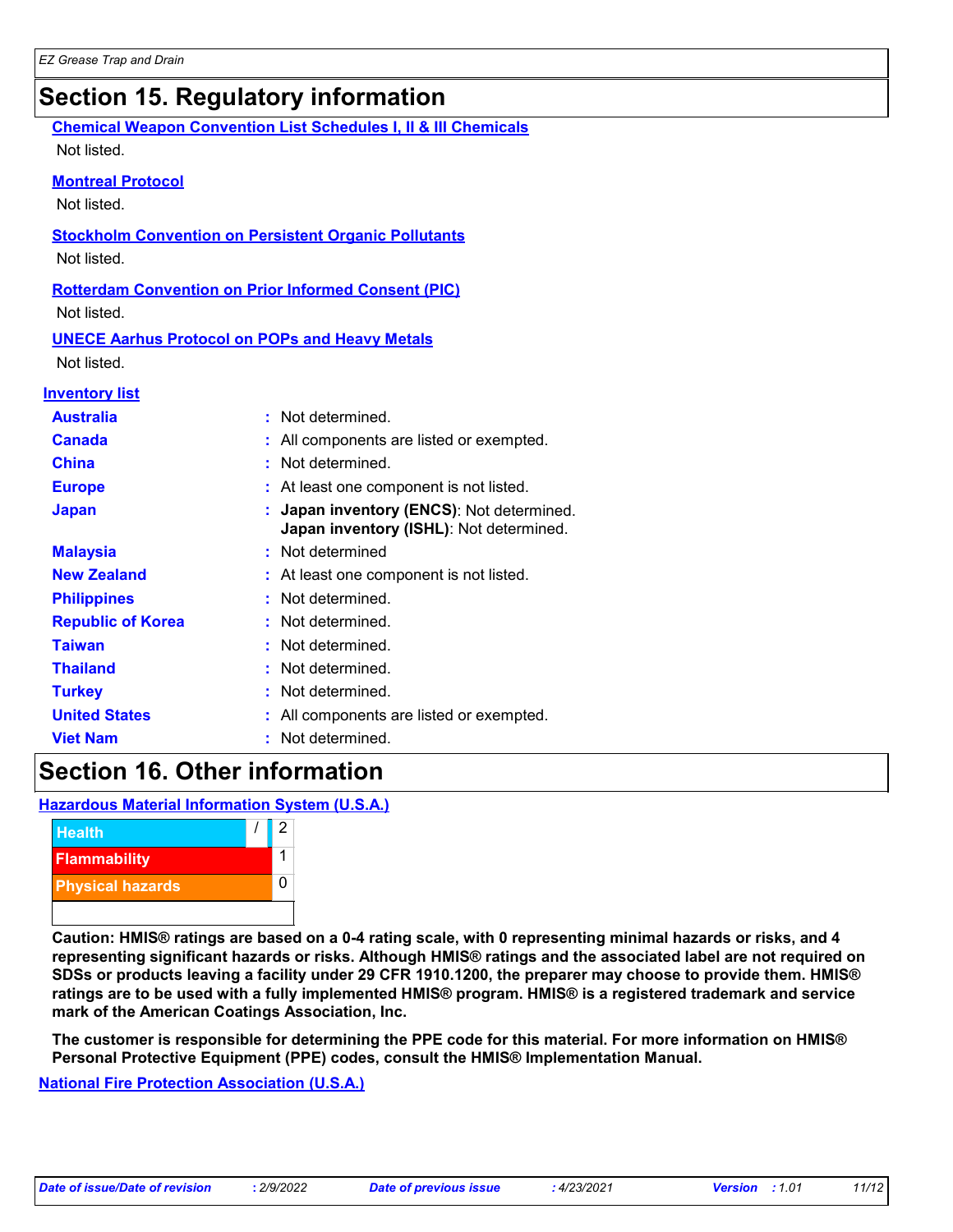### **Section 15. Regulatory information**

|                          | <b>Chemical Weapon Convention List Schedules I, II &amp; III Chemicals</b>         |
|--------------------------|------------------------------------------------------------------------------------|
| Not listed.              |                                                                                    |
| <b>Montreal Protocol</b> |                                                                                    |
| Not listed.              |                                                                                    |
|                          | <b>Stockholm Convention on Persistent Organic Pollutants</b>                       |
| Not listed.              |                                                                                    |
|                          | <b>Rotterdam Convention on Prior Informed Consent (PIC)</b>                        |
| Not listed.              |                                                                                    |
|                          | <b>UNECE Aarhus Protocol on POPs and Heavy Metals</b>                              |
| Not listed.              |                                                                                    |
| <b>Inventory list</b>    |                                                                                    |
| <b>Australia</b>         | Not determined.<br>÷                                                               |
| <b>Canada</b>            | All components are listed or exempted.                                             |
| China                    | Not determined.                                                                    |
| <b>Europe</b>            | At least one component is not listed.                                              |
| <b>Japan</b>             | Japan inventory (ENCS): Not determined.<br>Japan inventory (ISHL): Not determined. |
| <b>Malaysia</b>          | Not determined                                                                     |
| <b>New Zealand</b>       | At least one component is not listed.                                              |
| <b>Philippines</b>       | Not determined.                                                                    |
| <b>Republic of Korea</b> | Not determined.                                                                    |
| <b>Taiwan</b>            | Not determined.                                                                    |
| <b>Thailand</b>          | Not determined.                                                                    |
| <b>Turkey</b>            | Not determined.                                                                    |
| <b>United States</b>     | All components are listed or exempted.                                             |
| <b>Viet Nam</b>          | Not determined.                                                                    |
|                          |                                                                                    |

### **Section 16. Other information**

**Hazardous Material Information System (U.S.A.)**



**Caution: HMIS® ratings are based on a 0-4 rating scale, with 0 representing minimal hazards or risks, and 4 representing significant hazards or risks. Although HMIS® ratings and the associated label are not required on SDSs or products leaving a facility under 29 CFR 1910.1200, the preparer may choose to provide them. HMIS® ratings are to be used with a fully implemented HMIS® program. HMIS® is a registered trademark and service mark of the American Coatings Association, Inc.**

**The customer is responsible for determining the PPE code for this material. For more information on HMIS® Personal Protective Equipment (PPE) codes, consult the HMIS® Implementation Manual.**

**National Fire Protection Association (U.S.A.)**